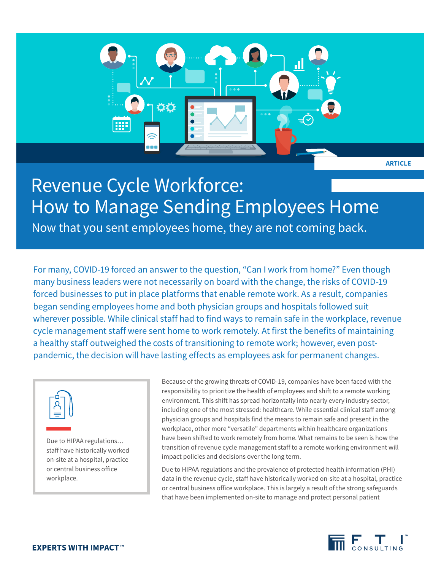

# Revenue Cycle Workforce: How to Manage Sending Employees Home

Now that you sent employees home, they are not coming back.

For many, COVID-19 forced an answer to the question, "Can I work from home?" Even though many business leaders were not necessarily on board with the change, the risks of COVID-19 forced businesses to put in place platforms that enable remote work. As a result, companies began sending employees home and both physician groups and hospitals followed suit wherever possible. While clinical staff had to find ways to remain safe in the workplace, revenue cycle management staff were sent home to work remotely. At first the benefits of maintaining a healthy staff outweighed the costs of transitioning to remote work; however, even postpandemic, the decision will have lasting effects as employees ask for permanent changes.



Due to HIPAA regulations… staff have historically worked on-site at a hospital, practice or central business office workplace.

Because of the growing threats of COVID-19, companies have been faced with the responsibility to prioritize the health of employees and shift to a remote working environment. This shift has spread horizontally into nearly every industry sector, including one of the most stressed: healthcare. While essential clinical staff among physician groups and hospitals find the means to remain safe and present in the workplace, other more "versatile" departments within healthcare organizations have been shifted to work remotely from home. What remains to be seen is how the transition of revenue cycle management staff to a remote working environment will impact policies and decisions over the long term.

Due to HIPAA regulations and the prevalence of protected health information (PHI) data in the revenue cycle, staff have historically worked on-site at a hospital, practice or central business office workplace. This is largely a result of the strong safeguards that have been implemented on-site to manage and protect personal patient

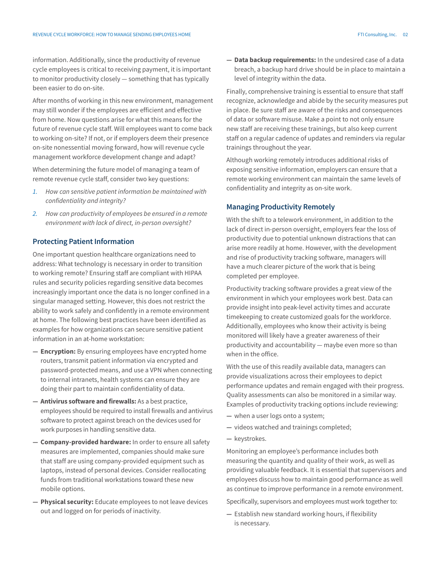information. Additionally, since the productivity of revenue cycle employees is critical to receiving payment, it is important to monitor productivity closely — something that has typically been easier to do on-site.

After months of working in this new environment, management may still wonder if the employees are efficient and effective from home. Now questions arise for what this means for the future of revenue cycle staff. Will employees want to come back to working on-site? If not, or if employers deem their presence on-site nonessential moving forward, how will revenue cycle management workforce development change and adapt?

When determining the future model of managing a team of remote revenue cycle staff, consider two key questions:

- *1. How can sensitive patient information be maintained with confidentiality and integrity?*
- *2. How can productivity of employees be ensured in a remote environment with lack of direct, in-person oversight?*

# **Protecting Patient Information**

One important question healthcare organizations need to address: What technology is necessary in order to transition to working remote? Ensuring staff are compliant with HIPAA rules and security policies regarding sensitive data becomes increasingly important once the data is no longer confined in a singular managed setting. However, this does not restrict the ability to work safely and confidently in a remote environment at home. The following best practices have been identified as examples for how organizations can secure sensitive patient information in an at-home workstation:

- **— Encryption:** By ensuring employees have encrypted home routers, transmit patient information via encrypted and password-protected means, and use a VPN when connecting to internal intranets, health systems can ensure they are doing their part to maintain confidentiality of data.
- **— Antivirus software and firewalls:** As a best practice, employees should be required to install firewalls and antivirus software to protect against breach on the devices used for work purposes in handling sensitive data.
- **— Company-provided hardware:** In order to ensure all safety measures are implemented, companies should make sure that staff are using company-provided equipment such as laptops, instead of personal devices. Consider reallocating funds from traditional workstations toward these new mobile options.
- **— Physical security:** Educate employees to not leave devices out and logged on for periods of inactivity.

**— Data backup requirements:** In the undesired case of a data breach, a backup hard drive should be in place to maintain a level of integrity within the data.

Finally, comprehensive training is essential to ensure that staff recognize, acknowledge and abide by the security measures put in place. Be sure staff are aware of the risks and consequences of data or software misuse. Make a point to not only ensure new staff are receiving these trainings, but also keep current staff on a regular cadence of updates and reminders via regular trainings throughout the year.

Although working remotely introduces additional risks of exposing sensitive information, employers can ensure that a remote working environment can maintain the same levels of confidentiality and integrity as on-site work.

### **Managing Productivity Remotely**

With the shift to a telework environment, in addition to the lack of direct in-person oversight, employers fear the loss of productivity due to potential unknown distractions that can arise more readily at home. However, with the development and rise of productivity tracking software, managers will have a much clearer picture of the work that is being completed per employee.

Productivity tracking software provides a great view of the environment in which your employees work best. Data can provide insight into peak-level activity times and accurate timekeeping to create customized goals for the workforce. Additionally, employees who know their activity is being monitored will likely have a greater awareness of their productivity and accountability — maybe even more so than when in the office.

With the use of this readily available data, managers can provide visualizations across their employees to depict performance updates and remain engaged with their progress. Quality assessments can also be monitored in a similar way. Examples of productivity tracking options include reviewing:

- **—** when a user logs onto a system;
- **—** videos watched and trainings completed;
- **—** keystrokes.

Monitoring an employee's performance includes both measuring the quantity and quality of their work, as well as providing valuable feedback. It is essential that supervisors and employees discuss how to maintain good performance as well as continue to improve performance in a remote environment.

Specifically, supervisors and employees must work together to:

**—** Establish new standard working hours, if flexibility is necessary.